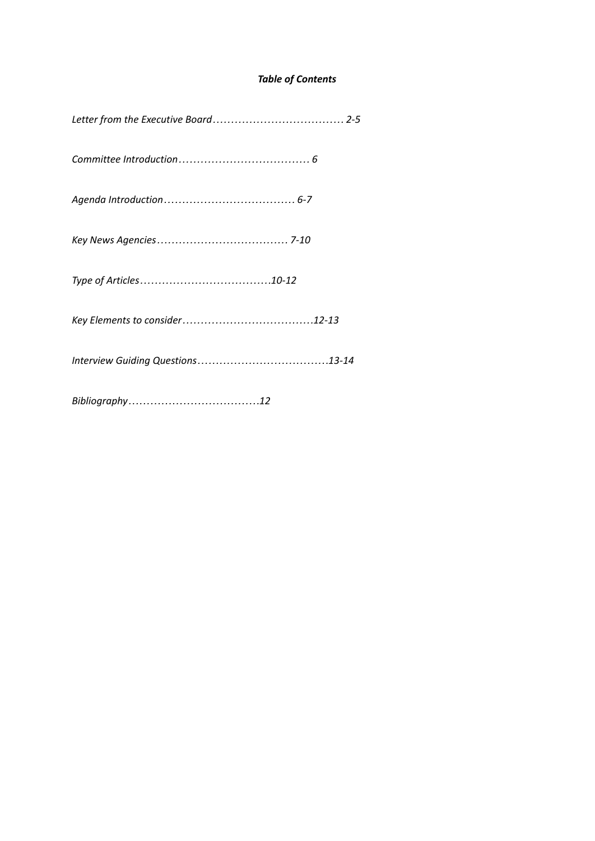# *Table of Contents*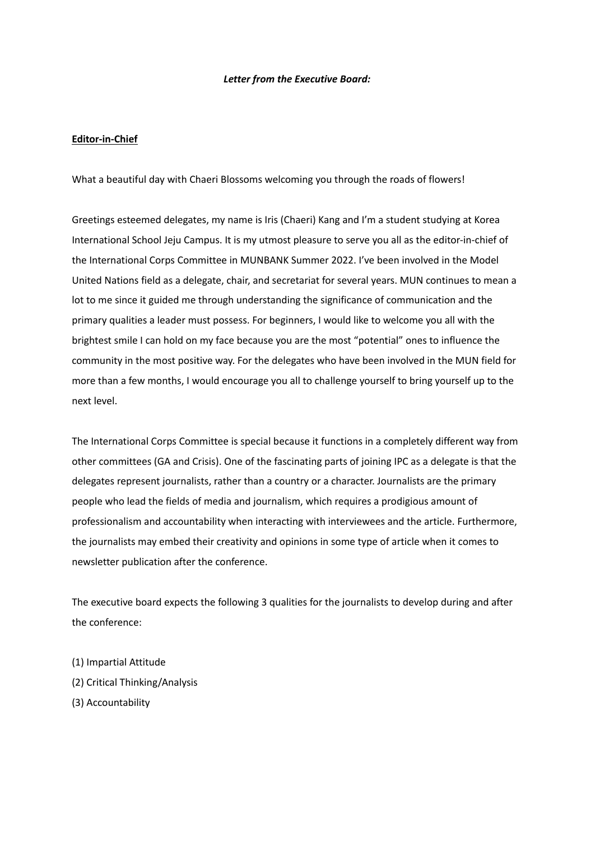#### *Letter from the Executive Board:*

### **Editor-in-Chief**

What a beautiful day with Chaeri Blossoms welcoming you through the roads of flowers!

Greetings esteemed delegates, my name is Iris (Chaeri) Kang and I'm a student studying at Korea International School Jeju Campus. It is my utmost pleasure to serve you all as the editor-in-chief of the International Corps Committee in MUNBANK Summer 2022. I've been involved in the Model United Nations field as a delegate, chair, and secretariat for several years. MUN continues to mean a lot to me since it guided me through understanding the significance of communication and the primary qualities a leader must possess. For beginners, I would like to welcome you all with the brightest smile I can hold on my face because you are the most "potential" ones to influence the community in the most positive way. For the delegates who have been involved in the MUN field for more than a few months, I would encourage you all to challenge yourself to bring yourself up to the next level.

The International Corps Committee is special because it functions in a completely different way from other committees (GA and Crisis). One of the fascinating parts of joining IPC as a delegate is that the delegates represent journalists, rather than a country or a character. Journalists are the primary people who lead the fields of media and journalism, which requires a prodigious amount of professionalism and accountability when interacting with interviewees and the article. Furthermore, the journalists may embed their creativity and opinions in some type of article when it comes to newsletter publication after the conference.

The executive board expects the following 3 qualities for the journalists to develop during and after the conference:

- (1) Impartial Attitude
- (2) Critical Thinking/Analysis
- (3) Accountability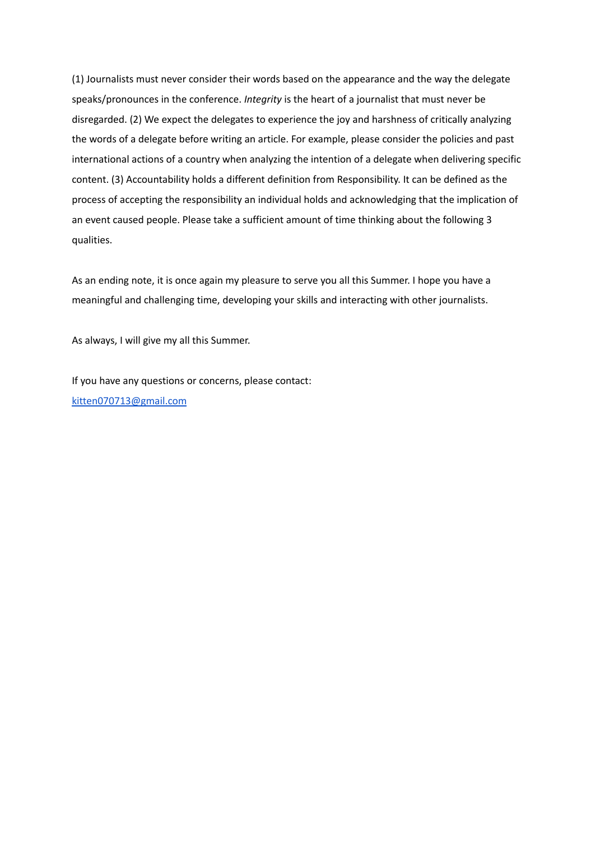(1) Journalists must never consider their words based on the appearance and the way the delegate speaks/pronounces in the conference. *Integrity* is the heart of a journalist that must never be disregarded. (2) We expect the delegates to experience the joy and harshness of critically analyzing the words of a delegate before writing an article. For example, please consider the policies and past international actions of a country when analyzing the intention of a delegate when delivering specific content. (3) Accountability holds a different definition from Responsibility. It can be defined as the process of accepting the responsibility an individual holds and acknowledging that the implication of an event caused people. Please take a sufficient amount of time thinking about the following 3 qualities.

As an ending note, it is once again my pleasure to serve you all this Summer. I hope you have a meaningful and challenging time, developing your skills and interacting with other journalists.

As always, I will give my all this Summer.

If you have any questions or concerns, please contact: [kitten070713@gmail.com](mailto:kitten070713@gmail.com)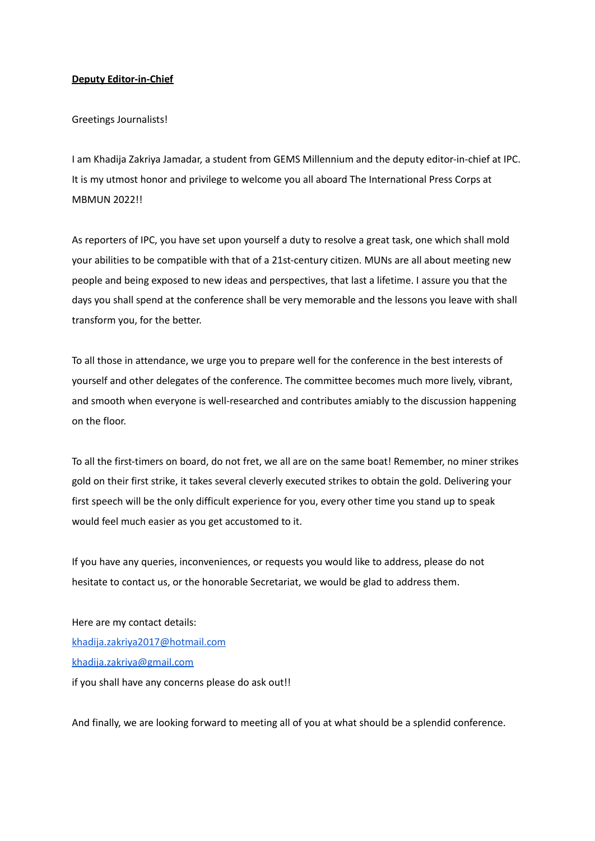### **Deputy Editor-in-Chief**

#### Greetings Journalists!

I am Khadija Zakriya Jamadar, a student from GEMS Millennium and the deputy editor-in-chief at IPC. It is my utmost honor and privilege to welcome you all aboard The International Press Corps at MBMUN 2022!!

As reporters of IPC, you have set upon yourself a duty to resolve a great task, one which shall mold your abilities to be compatible with that of a 21st-century citizen. MUNs are all about meeting new people and being exposed to new ideas and perspectives, that last a lifetime. I assure you that the days you shall spend at the conference shall be very memorable and the lessons you leave with shall transform you, for the better.

To all those in attendance, we urge you to prepare well for the conference in the best interests of yourself and other delegates of the conference. The committee becomes much more lively, vibrant, and smooth when everyone is well-researched and contributes amiably to the discussion happening on the floor.

To all the first-timers on board, do not fret, we all are on the same boat! Remember, no miner strikes gold on their first strike, it takes several cleverly executed strikes to obtain the gold. Delivering your first speech will be the only difficult experience for you, every other time you stand up to speak would feel much easier as you get accustomed to it.

If you have any queries, inconveniences, or requests you would like to address, please do not hesitate to contact us, or the honorable Secretariat, we would be glad to address them.

Here are my contact details: [khadija.zakriya2017@hotmail.com](mailto:khadija.zakriya2017@hotmail.com) [khadija.zakriya@gmail.com](mailto:khadija.zakriya@gmail.com) if you shall have any concerns please do ask out!!

And finally, we are looking forward to meeting all of you at what should be a splendid conference.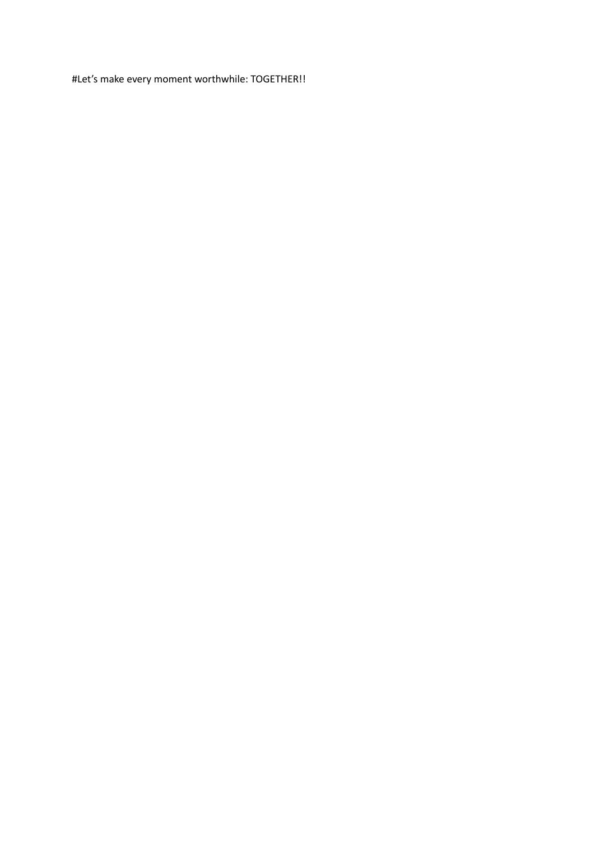#Let's make every moment worthwhile: TOGETHER!!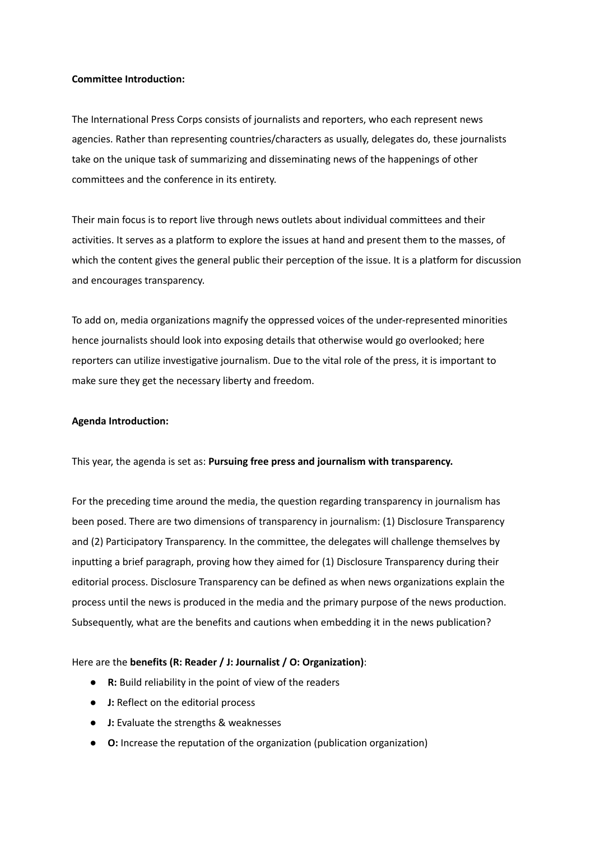#### **Committee Introduction:**

The International Press Corps consists of journalists and reporters, who each represent news agencies. Rather than representing countries/characters as usually, delegates do, these journalists take on the unique task of summarizing and disseminating news of the happenings of other committees and the conference in its entirety.

Their main focus is to report live through news outlets about individual committees and their activities. It serves as a platform to explore the issues at hand and present them to the masses, of which the content gives the general public their perception of the issue. It is a platform for discussion and encourages transparency.

To add on, media organizations magnify the oppressed voices of the under-represented minorities hence journalists should look into exposing details that otherwise would go overlooked; here reporters can utilize investigative journalism. Due to the vital role of the press, it is important to make sure they get the necessary liberty and freedom.

### **Agenda Introduction:**

This year, the agenda is set as: **Pursuing free press and journalism with transparency.**

For the preceding time around the media, the question regarding transparency in journalism has been posed. There are two dimensions of transparency in journalism: (1) Disclosure Transparency and (2) Participatory Transparency. In the committee, the delegates will challenge themselves by inputting a brief paragraph, proving how they aimed for (1) Disclosure Transparency during their editorial process. Disclosure Transparency can be defined as when news organizations explain the process until the news is produced in the media and the primary purpose of the news production. Subsequently, what are the benefits and cautions when embedding it in the news publication?

### Here are the **benefits (R: Reader / J: Journalist / O: Organization)**:

- **R:** Build reliability in the point of view of the readers
- **J:** Reflect on the editorial process
- **J:** Evaluate the strengths & weaknesses
- **● O:** Increase the reputation of the organization (publication organization)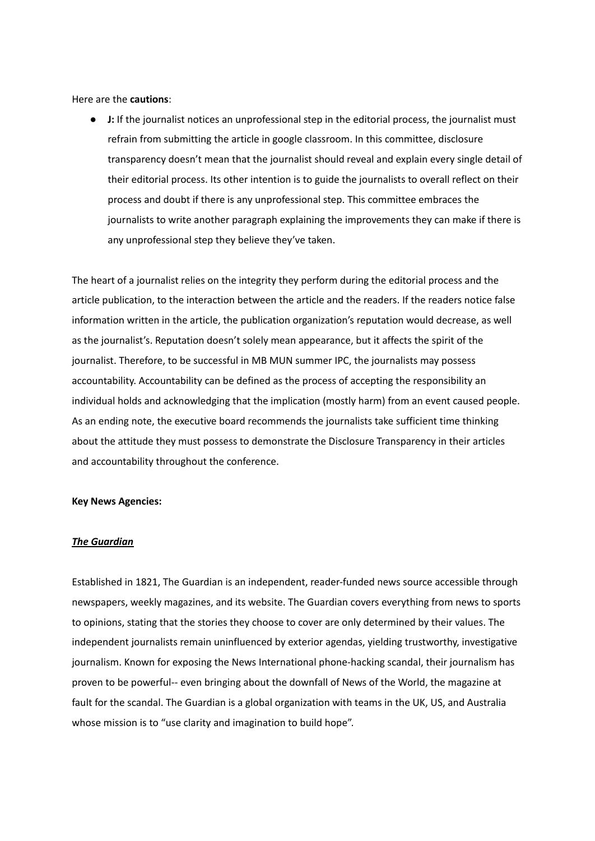Here are the **cautions**:

● **J:** If the journalist notices an unprofessional step in the editorial process, the journalist must refrain from submitting the article in google classroom. In this committee, disclosure transparency doesn't mean that the journalist should reveal and explain every single detail of their editorial process. Its other intention is to guide the journalists to overall reflect on their process and doubt if there is any unprofessional step. This committee embraces the journalists to write another paragraph explaining the improvements they can make if there is any unprofessional step they believe they've taken.

The heart of a journalist relies on the integrity they perform during the editorial process and the article publication, to the interaction between the article and the readers. If the readers notice false information written in the article, the publication organization's reputation would decrease, as well as the journalist's. Reputation doesn't solely mean appearance, but it affects the spirit of the journalist. Therefore, to be successful in MB MUN summer IPC, the journalists may possess accountability. Accountability can be defined as the process of accepting the responsibility an individual holds and acknowledging that the implication (mostly harm) from an event caused people. As an ending note, the executive board recommends the journalists take sufficient time thinking about the attitude they must possess to demonstrate the Disclosure Transparency in their articles and accountability throughout the conference.

#### **Key News Agencies:**

#### *The Guardian*

Established in 1821, The Guardian is an independent, reader-funded news source accessible through newspapers, weekly magazines, and its website. The Guardian covers everything from news to sports to opinions, stating that the stories they choose to cover are only determined by their values. The independent journalists remain uninfluenced by exterior agendas, yielding trustworthy, investigative journalism. Known for exposing the News International phone-hacking scandal, their journalism has proven to be powerful-- even bringing about the downfall of News of the World, the magazine at fault for the scandal. The Guardian is a global organization with teams in the UK, US, and Australia whose mission is to "use clarity and imagination to build hope".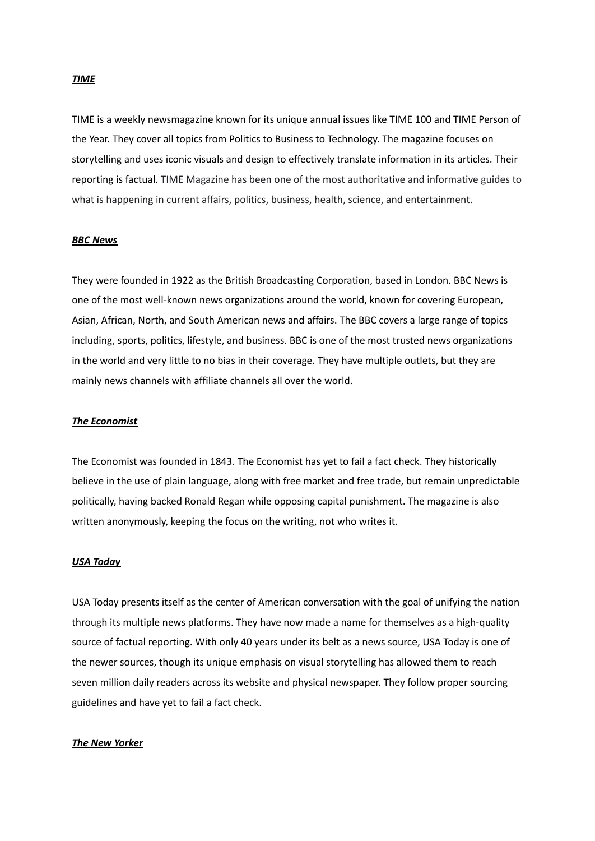#### *TIME*

TIME is a weekly newsmagazine known for its unique annual issues like TIME 100 and TIME Person of the Year. They cover all topics from Politics to Business to Technology. The magazine focuses on storytelling and uses iconic visuals and design to effectively translate information in its articles. Their reporting is factual. TIME Magazine has been one of the most authoritative and informative guides to what is happening in current affairs, politics, business, health, science, and entertainment.

#### *BBC News*

They were founded in 1922 as the British Broadcasting Corporation, based in London. BBC News is one of the most well-known news organizations around the world, known for covering European, Asian, African, North, and South American news and affairs. The BBC covers a large range of topics including, sports, politics, lifestyle, and business. BBC is one of the most trusted news organizations in the world and very little to no bias in their coverage. They have multiple outlets, but they are mainly news channels with affiliate channels all over the world.

#### *The Economist*

The Economist was founded in 1843. The Economist has yet to fail a fact check. They historically believe in the use of plain language, along with free market and free trade, but remain unpredictable politically, having backed Ronald Regan while opposing capital punishment. The magazine is also written anonymously, keeping the focus on the writing, not who writes it.

#### *USA Today*

USA Today presents itself as the center of American conversation with the goal of unifying the nation through its multiple news platforms. They have now made a name for themselves as a high-quality source of factual reporting. With only 40 years under its belt as a news source, USA Today is one of the newer sources, though its unique emphasis on visual storytelling has allowed them to reach seven million daily readers across its website and physical newspaper. They follow proper sourcing guidelines and have yet to fail a fact check.

#### *The New Yorker*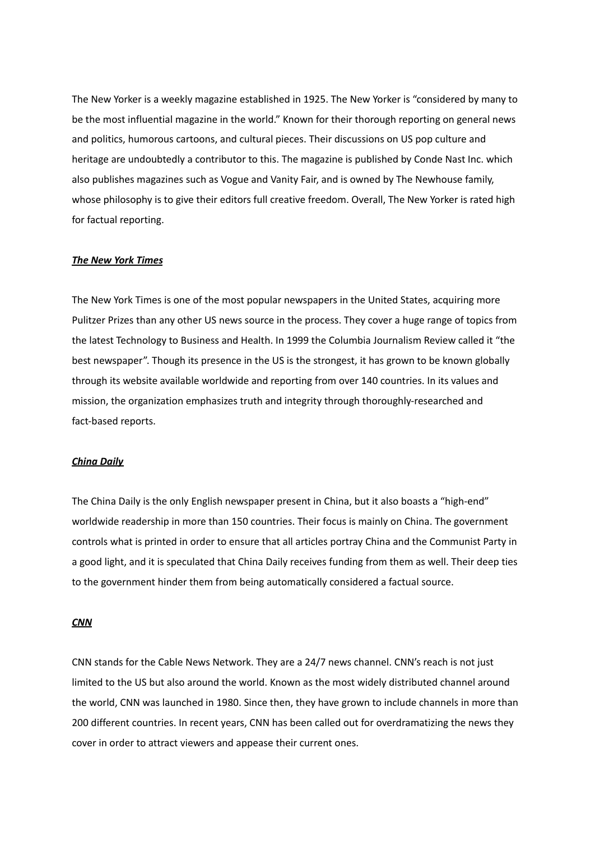The New Yorker is a weekly magazine established in 1925. The New Yorker is "considered by many to be the most influential magazine in the world." Known for their thorough reporting on general news and politics, humorous cartoons, and cultural pieces. Their discussions on US pop culture and heritage are undoubtedly a contributor to this. The magazine is published by Conde Nast Inc. which also publishes magazines such as Vogue and Vanity Fair, and is owned by The Newhouse family, whose philosophy is to give their editors full creative freedom. Overall, The New Yorker is rated high for factual reporting.

### *The New York Times*

The New York Times is one of the most popular newspapers in the United States, acquiring more Pulitzer Prizes than any other US news source in the process. They cover a huge range of topics from the latest Technology to Business and Health. In 1999 the Columbia Journalism Review called it "the best newspaper". Though its presence in the US is the strongest, it has grown to be known globally through its website available worldwide and reporting from over 140 countries. In its values and mission, the organization emphasizes truth and integrity through thoroughly-researched and fact-based reports.

#### *China Daily*

The China Daily is the only English newspaper present in China, but it also boasts a "high-end" worldwide readership in more than 150 countries. Their focus is mainly on China. The government controls what is printed in order to ensure that all articles portray China and the Communist Party in a good light, and it is speculated that China Daily receives funding from them as well. Their deep ties to the government hinder them from being automatically considered a factual source.

#### *CNN*

CNN stands for the Cable News Network. They are a 24/7 news channel. CNN's reach is not just limited to the US but also around the world. Known as the most widely distributed channel around the world, CNN was launched in 1980. Since then, they have grown to include channels in more than 200 different countries. In recent years, CNN has been called out for overdramatizing the news they cover in order to attract viewers and appease their current ones.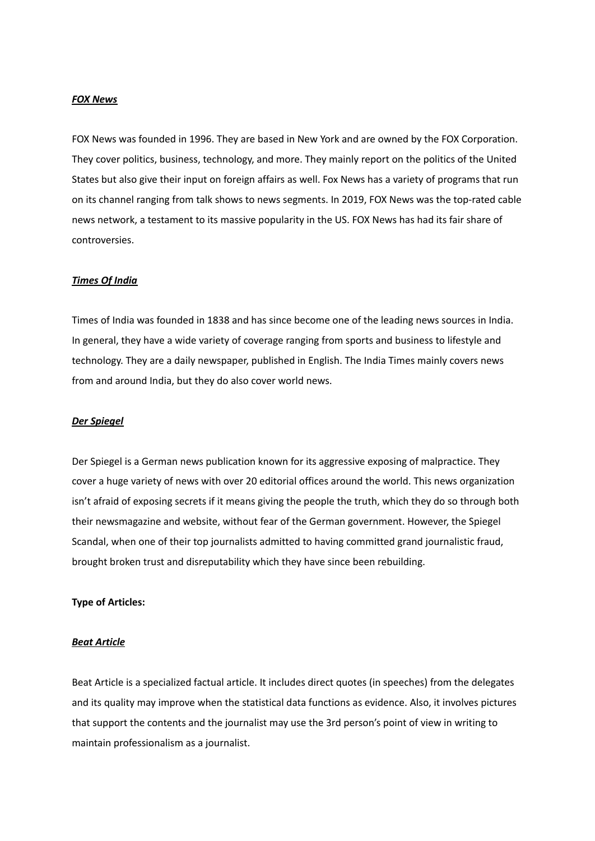#### *FOX News*

FOX News was founded in 1996. They are based in New York and are owned by the FOX Corporation. They cover politics, business, technology, and more. They mainly report on the politics of the United States but also give their input on foreign affairs as well. Fox News has a variety of programs that run on its channel ranging from talk shows to news segments. In 2019, FOX News was the top-rated cable news network, a testament to its massive popularity in the US. FOX News has had its fair share of controversies.

#### *Times Of India*

Times of India was founded in 1838 and has since become one of the leading news sources in India. In general, they have a wide variety of coverage ranging from sports and business to lifestyle and technology. They are a daily newspaper, published in English. The India Times mainly covers news from and around India, but they do also cover world news.

#### *Der Spiegel*

Der Spiegel is a German news publication known for its aggressive exposing of malpractice. They cover a huge variety of news with over 20 editorial offices around the world. This news organization isn't afraid of exposing secrets if it means giving the people the truth, which they do so through both their newsmagazine and website, without fear of the German government. However, the Spiegel Scandal, when one of their top journalists admitted to having committed grand journalistic fraud, brought broken trust and disreputability which they have since been rebuilding.

#### **Type of Articles:**

#### *Beat Article*

Beat Article is a specialized factual article. It includes direct quotes (in speeches) from the delegates and its quality may improve when the statistical data functions as evidence. Also, it involves pictures that support the contents and the journalist may use the 3rd person's point of view in writing to maintain professionalism as a journalist.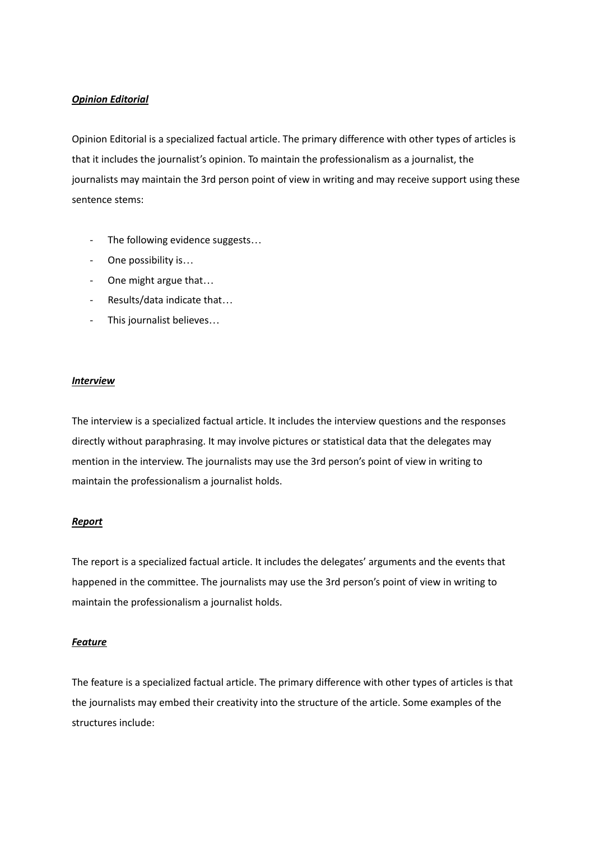### *Opinion Editorial*

Opinion Editorial is a specialized factual article. The primary difference with other types of articles is that it includes the journalist's opinion. To maintain the professionalism as a journalist, the journalists may maintain the 3rd person point of view in writing and may receive support using these sentence stems:

- The following evidence suggests…
- One possibility is…
- One might argue that…
- Results/data indicate that…
- This journalist believes…

#### *Interview*

The interview is a specialized factual article. It includes the interview questions and the responses directly without paraphrasing. It may involve pictures or statistical data that the delegates may mention in the interview. The journalists may use the 3rd person's point of view in writing to maintain the professionalism a journalist holds.

### *Report*

The report is a specialized factual article. It includes the delegates' arguments and the events that happened in the committee. The journalists may use the 3rd person's point of view in writing to maintain the professionalism a journalist holds.

### *Feature*

The feature is a specialized factual article. The primary difference with other types of articles is that the journalists may embed their creativity into the structure of the article. Some examples of the structures include: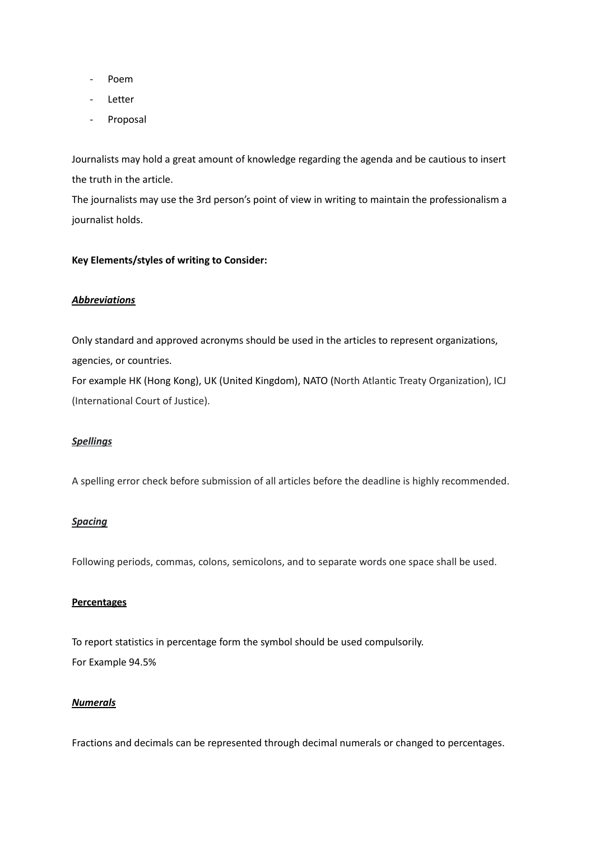- Poem
- Letter
- Proposal

Journalists may hold a great amount of knowledge regarding the agenda and be cautious to insert the truth in the article.

The journalists may use the 3rd person's point of view in writing to maintain the professionalism a journalist holds.

### **Key Elements/styles of writing to Consider:**

## *Abbreviations*

Only standard and approved acronyms should be used in the articles to represent organizations, agencies, or countries.

For example HK (Hong Kong), UK (United Kingdom), NATO (North Atlantic Treaty Organization), ICJ (International Court of Justice).

### *Spellings*

A spelling error check before submission of all articles before the deadline is highly recommended.

### *Spacing*

Following periods, commas, colons, semicolons, and to separate words one space shall be used.

#### **Percentages**

To report statistics in percentage form the symbol should be used compulsorily. For Example 94.5%

### *Numerals*

Fractions and decimals can be represented through decimal numerals or changed to percentages.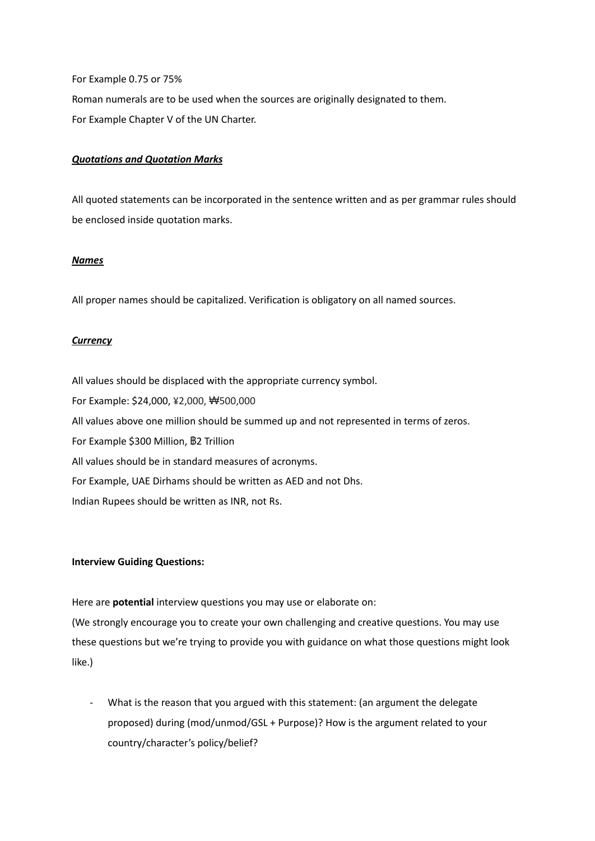For Example 0.75 or 75% Roman numerals are to be used when the sources are originally designated to them. For Example Chapter V of the UN Charter.

### *Quotations and Quotation Marks*

All quoted statements can be incorporated in the sentence written and as per grammar rules should be enclosed inside quotation marks.

### *Names*

All proper names should be capitalized. Verification is obligatory on all named sources.

# *Currency*

All values should be displaced with the appropriate currency symbol. For Example: \$24,000, ¥2,000, ₩500,000 All values above one million should be summed up and not represented in terms of zeros. For Example \$300 Million, ฿2 Trillion All values should be in standard measures of acronyms. For Example, UAE Dirhams should be written as AED and not Dhs. Indian Rupees should be written as INR, not Rs.

### **Interview Guiding Questions:**

Here are **potential** interview questions you may use or elaborate on:

(We strongly encourage you to create your own challenging and creative questions. You may use these questions but we're trying to provide you with guidance on what those questions might look like.)

- What is the reason that you argued with this statement: (an argument the delegate proposed) during (mod/unmod/GSL + Purpose)? How is the argument related to your country/character's policy/belief?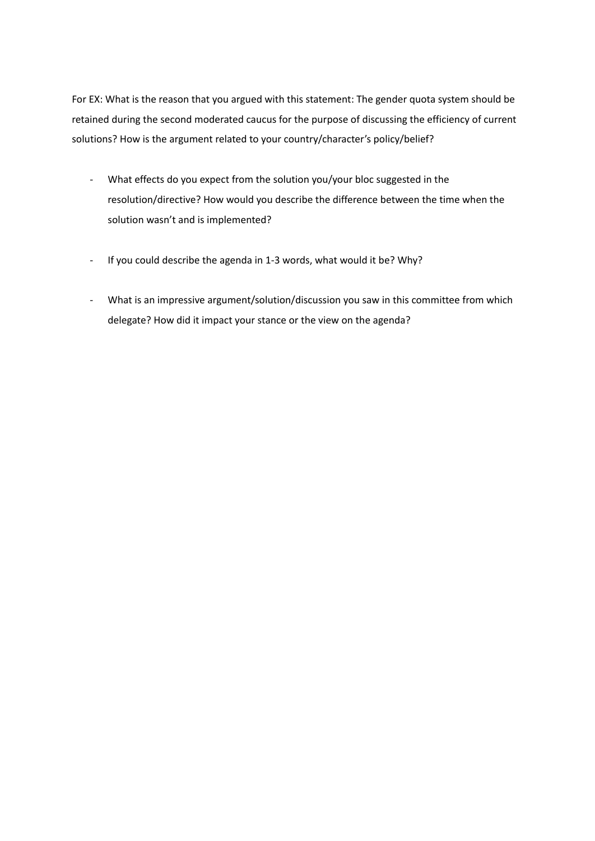For EX: What is the reason that you argued with this statement: The gender quota system should be retained during the second moderated caucus for the purpose of discussing the efficiency of current solutions? How is the argument related to your country/character's policy/belief?

- What effects do you expect from the solution you/your bloc suggested in the resolution/directive? How would you describe the difference between the time when the solution wasn't and is implemented?
- If you could describe the agenda in 1-3 words, what would it be? Why?
- What is an impressive argument/solution/discussion you saw in this committee from which delegate? How did it impact your stance or the view on the agenda?